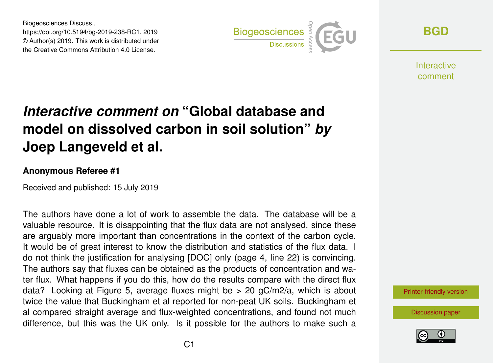Biogeosciences Discuss., https://doi.org/10.5194/bg-2019-238-RC1, 2019 © Author(s) 2019. This work is distributed under the Creative Commons Attribution 4.0 License.



**[BGD](https://www.biogeosciences-discuss.net/)**

Interactive comment

## *Interactive comment on* **"Global database and model on dissolved carbon in soil solution"** *by* **Joep Langeveld et al.**

## **Anonymous Referee #1**

Received and published: 15 July 2019

The authors have done a lot of work to assemble the data. The database will be a valuable resource. It is disappointing that the flux data are not analysed, since these are arguably more important than concentrations in the context of the carbon cycle. It would be of great interest to know the distribution and statistics of the flux data. I do not think the justification for analysing [DOC] only (page 4, line 22) is convincing. The authors say that fluxes can be obtained as the products of concentration and water flux. What happens if you do this, how do the results compare with the direct flux data? Looking at Figure 5, average fluxes might be  $> 20$  gC/m2/a, which is about twice the value that Buckingham et al reported for non-peat UK soils. Buckingham et al compared straight average and flux-weighted concentrations, and found not much difference, but this was the UK only. Is it possible for the authors to make such a

[Printer-friendly version](https://www.biogeosciences-discuss.net/bg-2019-238/bg-2019-238-RC1-print.pdf)

[Discussion paper](https://www.biogeosciences-discuss.net/bg-2019-238)